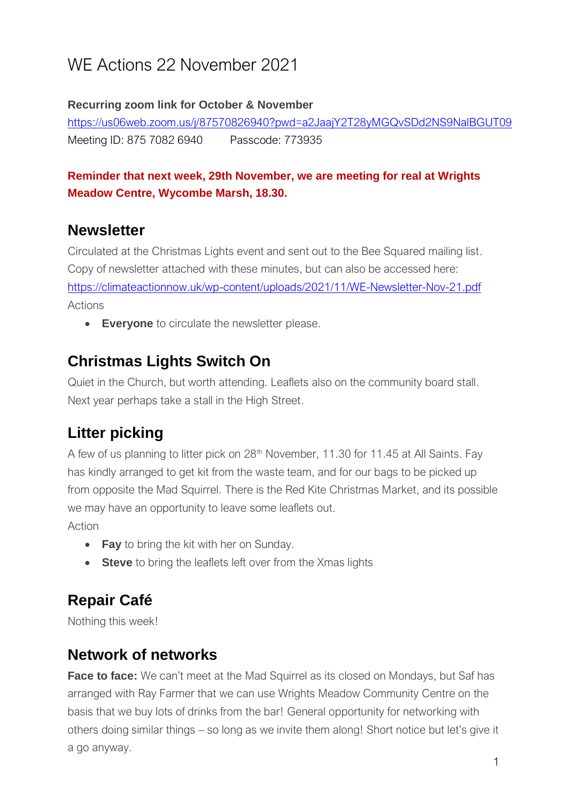# WE Actions 22 November 2021

#### **Recurring zoom link for October & November**

<https://us06web.zoom.us/j/87570826940?pwd=a2JaajY2T28yMGQvSDd2NS9NalBGUT09> Meeting ID: 875 7082 6940 Passcode: 773935

#### **Reminder that next week, 29th November, we are meeting for real at Wrights Meadow Centre, Wycombe Marsh, 18.30.**

### **Newsletter**

Circulated at the Christmas Lights event and sent out to the Bee Squared mailing list. Copy of newsletter attached with these minutes, but can also be accessed here: <https://climateactionnow.uk/wp-content/uploads/2021/11/WE-Newsletter-Nov-21.pdf> Actions

• **Everyone** to circulate the newsletter please.

### **Christmas Lights Switch On**

Quiet in the Church, but worth attending. Leaflets also on the community board stall. Next year perhaps take a stall in the High Street.

### **Litter picking**

A few of us planning to litter pick on 28<sup>th</sup> November, 11.30 for 11.45 at All Saints. Fay has kindly arranged to get kit from the waste team, and for our bags to be picked up from opposite the Mad Squirrel. There is the Red Kite Christmas Market, and its possible we may have an opportunity to leave some leaflets out.

Action

- **Fay** to bring the kit with her on Sunday.
- **Steve** to bring the leaflets left over from the Xmas lights

## **Repair Café**

Nothing this week!

#### **Network of networks**

**Face to face:** We can't meet at the Mad Squirrel as its closed on Mondays, but Saf has arranged with Ray Farmer that we can use Wrights Meadow Community Centre on the basis that we buy lots of drinks from the bar! General opportunity for networking with others doing similar things – so long as we invite them along! Short notice but let's give it a go anyway.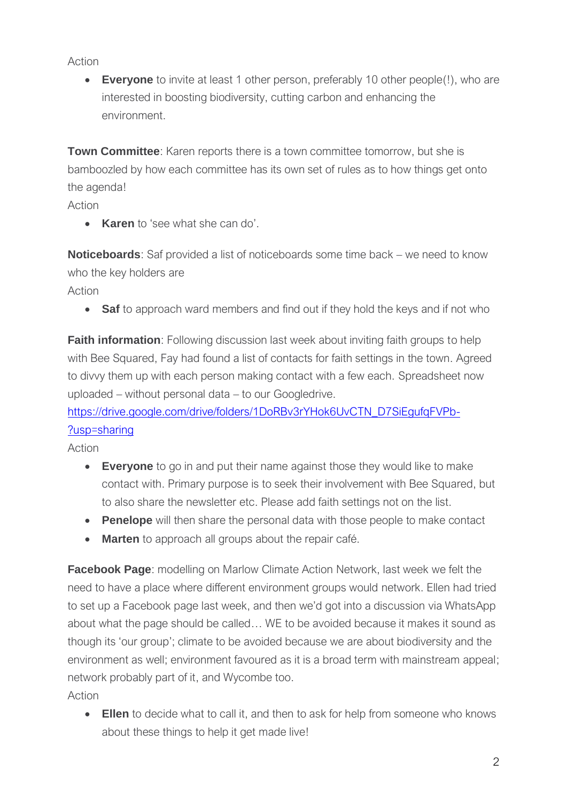Action

• **Everyone** to invite at least 1 other person, preferably 10 other people(!), who are interested in boosting biodiversity, cutting carbon and enhancing the environment.

**Town Committee**: Karen reports there is a town committee tomorrow, but she is bamboozled by how each committee has its own set of rules as to how things get onto the agenda!

Action

• **Karen** to 'see what she can do'.

**Noticeboards**: Saf provided a list of noticeboards some time back – we need to know who the key holders are

Action

• **Saf** to approach ward members and find out if they hold the keys and if not who

**Faith information**: Following discussion last week about inviting faith groups to help with Bee Squared, Fay had found a list of contacts for faith settings in the town. Agreed to divvy them up with each person making contact with a few each. Spreadsheet now uploaded – without personal data – to our Googledrive.

https://drive.google.com/drive/folders/1DoRBv3rYHok6UvCTN\_D7SiEgufgFVPb-[?usp=sharing](https://drive.google.com/drive/folders/1DoRBv3rYHok6UvCTN_D7SiEgufqFVPb-?usp=sharing)

Action

- **Everyone** to go in and put their name against those they would like to make contact with. Primary purpose is to seek their involvement with Bee Squared, but to also share the newsletter etc. Please add faith settings not on the list.
- **Penelope** will then share the personal data with those people to make contact
- **Marten** to approach all groups about the repair café.

**Facebook Page:** modelling on Marlow Climate Action Network, last week we felt the need to have a place where different environment groups would network. Ellen had tried to set up a Facebook page last week, and then we'd got into a discussion via WhatsApp about what the page should be called… WE to be avoided because it makes it sound as though its 'our group'; climate to be avoided because we are about biodiversity and the environment as well; environment favoured as it is a broad term with mainstream appeal; network probably part of it, and Wycombe too.

Action

• **Ellen** to decide what to call it, and then to ask for help from someone who knows about these things to help it get made live!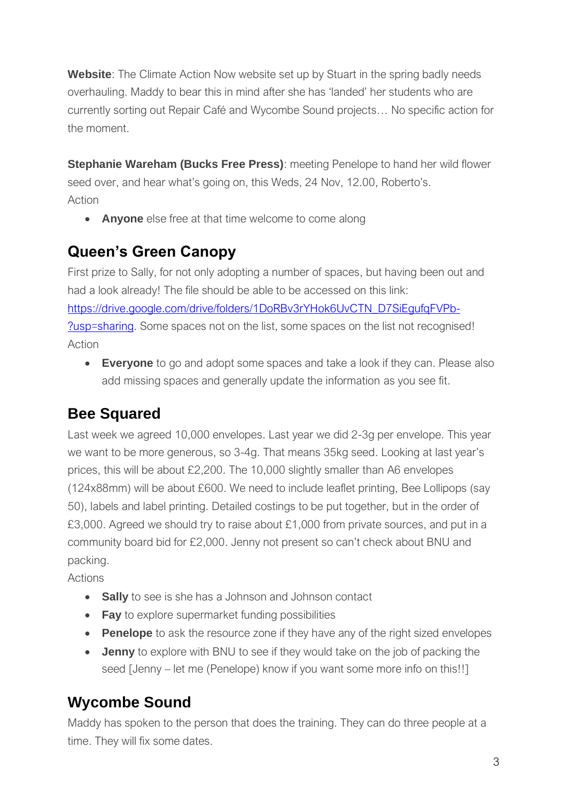**Website:** The Climate Action Now website set up by Stuart in the spring badly needs overhauling. Maddy to bear this in mind after she has 'landed' her students who are currently sorting out Repair Café and Wycombe Sound projects… No specific action for the moment.

**Stephanie Wareham (Bucks Free Press)**: meeting Penelope to hand her wild flower seed over, and hear what's going on, this Weds, 24 Nov, 12.00, Roberto's. Action

• **Anyone** else free at that time welcome to come along

### **Queen's Green Canopy**

First prize to Sally, for not only adopting a number of spaces, but having been out and had a look already! The file should be able to be accessed on this link: [https://drive.google.com/drive/folders/1DoRBv3rYHok6UvCTN\\_D7SiEgufqFVPb-](https://drive.google.com/drive/folders/1DoRBv3rYHok6UvCTN_D7SiEgufqFVPb-?usp=sharing) [?usp=sharing.](https://drive.google.com/drive/folders/1DoRBv3rYHok6UvCTN_D7SiEgufqFVPb-?usp=sharing) Some spaces not on the list, some spaces on the list not recognised! Action

• **Everyone** to go and adopt some spaces and take a look if they can. Please also add missing spaces and generally update the information as you see fit.

### **Bee Squared**

Last week we agreed 10,000 envelopes. Last year we did 2-3g per envelope. This year we want to be more generous, so 3-4g. That means 35kg seed. Looking at last year's prices, this will be about £2,200. The 10,000 slightly smaller than A6 envelopes (124x88mm) will be about £600. We need to include leaflet printing, Bee Lollipops (say 50), labels and label printing. Detailed costings to be put together, but in the order of £3,000. Agreed we should try to raise about £1,000 from private sources, and put in a community board bid for £2,000. Jenny not present so can't check about BNU and packing.

Actions

- **Sally** to see is she has a Johnson and Johnson contact
- **Fay** to explore supermarket funding possibilities
- **Penelope** to ask the resource zone if they have any of the right sized envelopes
- **Jenny** to explore with BNU to see if they would take on the job of packing the seed [Jenny – let me (Penelope) know if you want some more info on this!!]

### **Wycombe Sound**

Maddy has spoken to the person that does the training. They can do three people at a time. They will fix some dates.